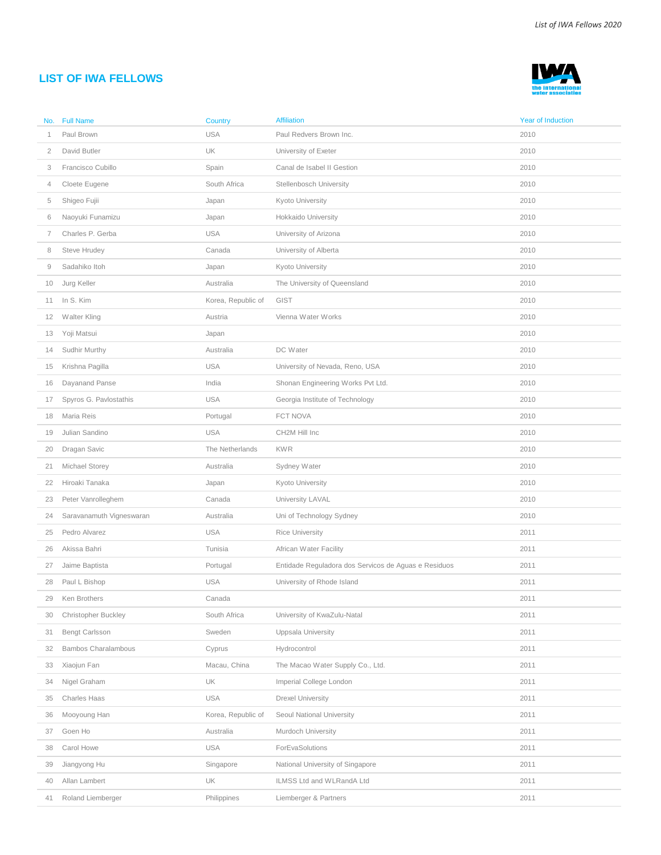## **LIST OF IWA FELLOWS**



| No.            | <b>Full Name</b>           | Country            | <b>Affiliation</b>                                   | Year of Induction |
|----------------|----------------------------|--------------------|------------------------------------------------------|-------------------|
|                | Paul Brown                 | <b>USA</b>         | Paul Redvers Brown Inc.                              | 2010              |
| $\overline{2}$ | David Butler               | UK                 | University of Exeter                                 | 2010              |
| 3              | Francisco Cubillo          | Spain              | Canal de Isabel II Gestion                           | 2010              |
| 4              | Cloete Eugene              | South Africa       | Stellenbosch University                              | 2010              |
| 5              | Shigeo Fujii               | Japan              | Kyoto University                                     | 2010              |
| 6              | Naoyuki Funamizu           | Japan              | Hokkaido University                                  | 2010              |
| 7              | Charles P. Gerba           | <b>USA</b>         | University of Arizona                                | 2010              |
| 8              | Steve Hrudey               | Canada             | University of Alberta                                | 2010              |
| 9              | Sadahiko Itoh              | Japan              | Kyoto University                                     | 2010              |
| 10             | Jurg Keller                | Australia          | The University of Queensland                         | 2010              |
| 11             | In S. Kim                  | Korea, Republic of | GIST                                                 | 2010              |
| 12             | Walter Kling               | Austria            | Vienna Water Works                                   | 2010              |
| 13             | Yoji Matsui                | Japan              |                                                      | 2010              |
| 14             | Sudhir Murthy              | Australia          | DC Water                                             | 2010              |
| 15             | Krishna Pagilla            | <b>USA</b>         | University of Nevada, Reno, USA                      | 2010              |
| 16             | Dayanand Panse             | India              | Shonan Engineering Works Pvt Ltd.                    | 2010              |
| 17             | Spyros G. Pavlostathis     | <b>USA</b>         | Georgia Institute of Technology                      | 2010              |
| 18             | Maria Reis                 | Portugal           | FCT NOVA                                             | 2010              |
| 19             | Julian Sandino             | <b>USA</b>         | CH2M Hill Inc                                        | 2010              |
| 20             | Dragan Savic               | The Netherlands    | <b>KWR</b>                                           | 2010              |
| 21             | Michael Storey             | Australia          | Sydney Water                                         | 2010              |
| 22             | Hiroaki Tanaka             | Japan              | Kyoto University                                     | 2010              |
| 23             | Peter Vanrolleghem         | Canada             | University LAVAL                                     | 2010              |
| 24             | Saravanamuth Vigneswaran   | Australia          | Uni of Technology Sydney                             | 2010              |
| 25             | Pedro Alvarez              | <b>USA</b>         | <b>Rice University</b>                               | 2011              |
| 26             | Akissa Bahri               | Tunisia            | African Water Facility                               | 2011              |
| 27             | Jaime Baptista             | Portugal           | Entidade Reguladora dos Servicos de Aguas e Residuos | 2011              |
| 28             | Paul L Bishop              | <b>USA</b>         | University of Rhode Island                           | 2011              |
| 29             | Ken Brothers               | Canada             |                                                      | 2011              |
| 30             | <b>Christopher Buckley</b> | South Africa       | University of KwaZulu-Natal                          | 2011              |
| 31             | <b>Bengt Carlsson</b>      | Sweden             | Uppsala University                                   | 2011              |
| 32             | <b>Bambos Charalambous</b> | Cyprus             | Hydrocontrol                                         | 2011              |
| 33             | Xiaojun Fan                | Macau, China       | The Macao Water Supply Co., Ltd.                     | 2011              |
| 34             | Nigel Graham               | UK                 | Imperial College London                              | 2011              |
| 35             | Charles Haas               | <b>USA</b>         | Drexel University                                    | 2011              |
| 36             | Mooyoung Han               | Korea, Republic of | Seoul National University                            | 2011              |
| 37             | Goen Ho                    | Australia          | Murdoch University                                   | 2011              |
| 38             | Carol Howe                 | <b>USA</b>         | ForEvaSolutions                                      | 2011              |
| 39             | Jiangyong Hu               | Singapore          | National University of Singapore                     | 2011              |
| 40             | Allan Lambert              | UK                 | ILMSS Ltd and WLRandA Ltd                            | 2011              |
| 41             | Roland Liemberger          | Philippines        | Liemberger & Partners                                | 2011              |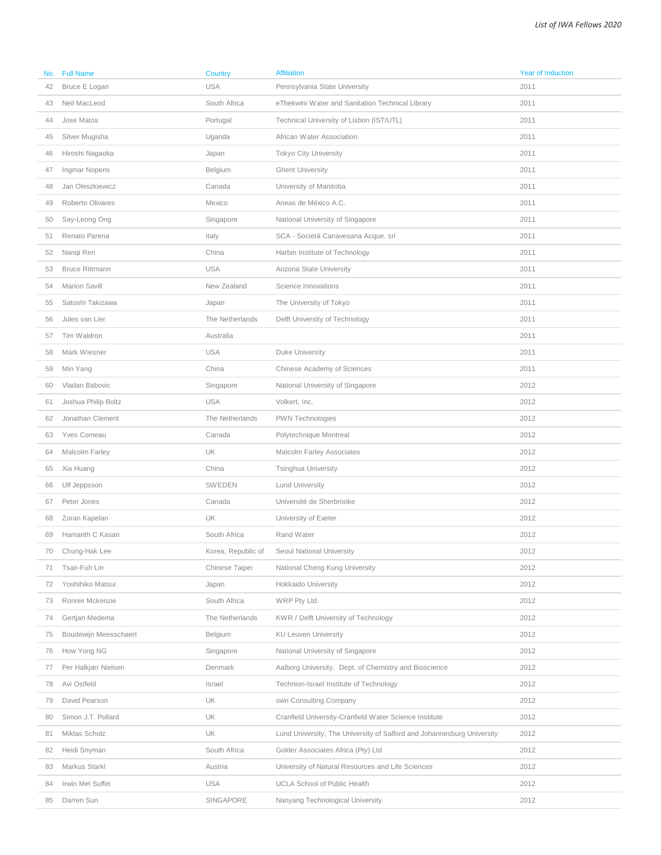| No. | <b>Full Name</b>      | Country            | <b>Affiliation</b>                                                     | <b>Year of Induction</b> |
|-----|-----------------------|--------------------|------------------------------------------------------------------------|--------------------------|
| 42  | Bruce E Logan         | <b>USA</b>         | Pennsylvania State University                                          | 2011                     |
| 43  | Neil MacLeod          | South Africa       | eThekwini Water and Sanitation Technical Library                       | 2011                     |
| 44  | Jose Matos            | Portugal           | Technical University of Lisbon (IST/UTL)                               | 2011                     |
| 45  | Silver Mugisha        | Uganda             | African Water Association                                              | 2011                     |
| 46  | Hiroshi Nagaoka       | Japan              | <b>Tokyo City University</b>                                           | 2011                     |
| 47  | Ingmar Nopens         | Belgium            | <b>Ghent University</b>                                                | 2011                     |
| 48  | Jan Oleszkiewicz      | Canada             | University of Manitoba                                                 | 2011                     |
| 49  | Roberto Olivares      | Mexico             | Aneas de México A.C.                                                   | 2011                     |
| 50  | Say-Leong Ong         | Singapore          | National University of Singapore                                       | 2011                     |
| 51  | Renato Parena         | Italy              | SCA - Società Canavesana Acque. srl                                    | 2011                     |
| 52  | Nanqi Ren             | China              | Harbin Institute of Technology                                         | 2011                     |
| 53  | <b>Bruce Rittmann</b> | <b>USA</b>         | Arizona State University                                               | 2011                     |
| 54  | Marion Savill         | New Zealand        | Science Innovations                                                    | 2011                     |
| 55  | Satoshi Takizawa      | Japan              | The University of Tokyo                                                | 2011                     |
| 56  | Jules van Lier        | The Netherlands    | Delft University of Technology                                         | 2011                     |
| 57  | Tim Waldron           | Australia          |                                                                        | 2011                     |
| 58  | Mark Wiesner          | <b>USA</b>         | Duke University                                                        | 2011                     |
| 59  | Min Yang              | China              | Chinese Academy of Sciences                                            | 2011                     |
| 60  | Vladan Babovic        | Singapore          | National University of Singapore                                       | 2012                     |
| 61  | Joshua Philip Boltz   | <b>USA</b>         | Volkert, Inc.                                                          | 2012                     |
| 62  | Jonathan Clement      | The Netherlands    | PWN Technologies                                                       | 2012                     |
| 63  | Yves Comeau           | Canada             | Polytechnique Montreal                                                 | 2012                     |
| 64  | Malcolm Farley        | UK                 | <b>Malcolm Farley Associates</b>                                       | 2012                     |
| 65  | Xia Huang             | China              | Tsinghua University                                                    | 2012                     |
| 66  | Ulf Jeppsson          | <b>SWEDEN</b>      | <b>Lund University</b>                                                 | 2012                     |
| 67  | Peter Jones           | Canada             | Université de Sherbrooke                                               | 2012                     |
| 68  | Zoran Kapelan         | UK                 | University of Exeter                                                   | 2012                     |
| 69  | Hamanth C Kasan       | South Africa       | Rand Water                                                             | 2012                     |
| 70  | Chung-Hak Lee         | Korea, Republic of | Seoul National University                                              | 2012                     |
| 71  | Tsair-Fuh Lin         | Chinese Taipei     | National Cheng Kung University                                         | 2012                     |
| 72  | Yoshihiko Matsui      | Japan              | Hokkaido University                                                    | 2012                     |
| 73  | Ronnie Mckenzie       | South Africa       | WRP Pty Ltd.                                                           | 2012                     |
| 74  | Gertjan Medema        | The Netherlands    | KWR / Delft University of Technology                                   | 2012                     |
| 75  | Boudewijn Meesschaert | Belgium            | <b>KU Leuven University</b>                                            | 2012                     |
| 76  | How Yong NG           | Singapore          | National University of Singapore                                       | 2012                     |
| 77  | Per Halkjær Nielsen   | Denmark            | Aalborg University, Dept. of Chemistry and Bioscience                  | 2012                     |
| 78  | Avi Ostfeld           | Israel             | Technion-Israel Institute of Technology                                | 2012                     |
| 79  | David Pearson         | UK                 | own Consulting Company                                                 | 2012                     |
| 80  | Simon J.T. Pollard    | UK                 | Cranfield University-Cranfield Water Science Institute                 | 2012                     |
| 81  | Miklas Scholz         | UK                 | Lund University, The University of Salford and Johannesburg University | 2012                     |
| 82  | Heidi Snyman          | South Africa       | Golder Associates Africa (Pty) Ltd                                     | 2012                     |
| 83  | Markus Starkl         | Austria            | University of Natural Resources and Life Sciences                      | 2012                     |
| 84  | Irwin Mel Suffet      | <b>USA</b>         | <b>UCLA School of Public Health</b>                                    | 2012                     |
| 85  | Darren Sun            | SINGAPORE          | Nanyang Technological University                                       | 2012                     |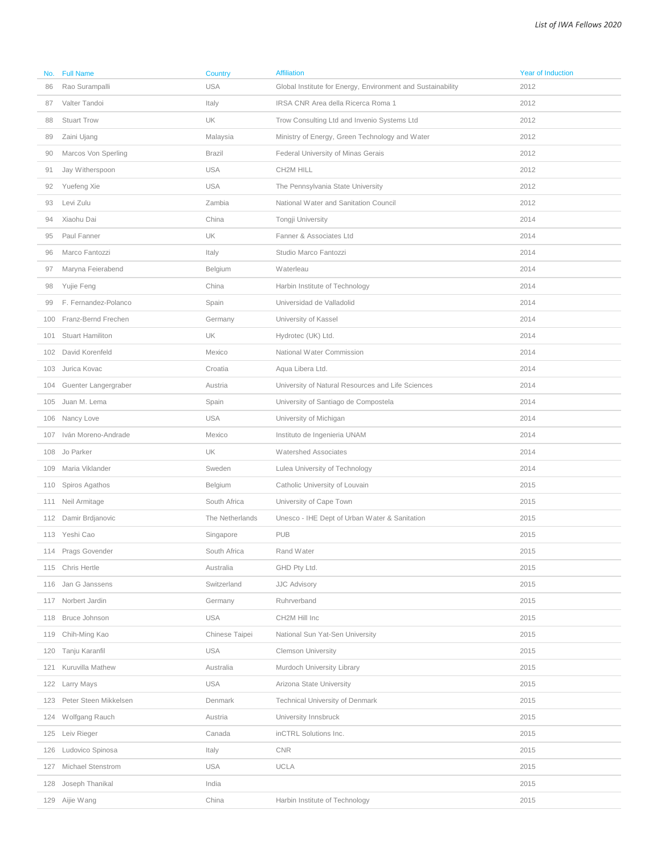| No. | <b>Full Name</b>        | Country         | <b>Affiliation</b>                                          | <b>Year of Induction</b> |
|-----|-------------------------|-----------------|-------------------------------------------------------------|--------------------------|
| 86  | Rao Surampalli          | <b>USA</b>      | Global Institute for Energy, Environment and Sustainability | 2012                     |
| 87  | Valter Tandoi           | Italy           | IRSA CNR Area della Ricerca Roma 1                          | 2012                     |
| 88  | <b>Stuart Trow</b>      | UK              | Trow Consulting Ltd and Invenio Systems Ltd                 | 2012                     |
| 89  | Zaini Ujang             | Malaysia        | Ministry of Energy, Green Technology and Water              | 2012                     |
| 90  | Marcos Von Sperling     | <b>Brazil</b>   | Federal University of Minas Gerais                          | 2012                     |
| 91  | Jay Witherspoon         | <b>USA</b>      | CH2M HILL                                                   | 2012                     |
| 92  | Yuefeng Xie             | <b>USA</b>      | The Pennsylvania State University                           | 2012                     |
| 93  | Levi Zulu               | Zambia          | National Water and Sanitation Council                       | 2012                     |
| 94  | Xiaohu Dai              | China           | Tongji University                                           | 2014                     |
| 95  | Paul Fanner             | UK              | Fanner & Associates Ltd                                     | 2014                     |
| 96  | Marco Fantozzi          | Italy           | Studio Marco Fantozzi                                       | 2014                     |
| 97  | Maryna Feierabend       | Belgium         | Waterleau                                                   | 2014                     |
| 98  | Yujie Feng              | China           | Harbin Institute of Technology                              | 2014                     |
| 99  | F. Fernandez-Polanco    | Spain           | Universidad de Valladolid                                   | 2014                     |
| 100 | Franz-Bernd Frechen     | Germany         | University of Kassel                                        | 2014                     |
| 101 | <b>Stuart Hamiliton</b> | UK              | Hydrotec (UK) Ltd.                                          | 2014                     |
| 102 | David Korenfeld         | Mexico          | National Water Commission                                   | 2014                     |
| 103 | Jurica Kovac            | Croatia         | Aqua Libera Ltd.                                            | 2014                     |
| 104 | Guenter Langergraber    | Austria         | University of Natural Resources and Life Sciences           | 2014                     |
|     | 105 Juan M. Lema        | Spain           | University of Santiago de Compostela                        | 2014                     |
| 106 | Nancy Love              | <b>USA</b>      | University of Michigan                                      | 2014                     |
| 107 | Iván Moreno-Andrade     | Mexico          | Instituto de Ingenieria UNAM                                | 2014                     |
| 108 | Jo Parker               | UK              | <b>Watershed Associates</b>                                 | 2014                     |
| 109 | Maria Viklander         | Sweden          | Lulea University of Technology                              | 2014                     |
| 110 | Spiros Agathos          | Belgium         | Catholic University of Louvain                              | 2015                     |
| 111 | Neil Armitage           | South Africa    | University of Cape Town                                     | 2015                     |
|     | 112 Damir Brdjanovic    | The Netherlands | Unesco - IHE Dept of Urban Water & Sanitation               | 2015                     |
|     | 113 Yeshi Cao           | Singapore       | <b>PUB</b>                                                  | 2015                     |
|     | 114 Prags Govender      | South Africa    | Rand Water                                                  | 2015                     |
|     | 115 Chris Hertle        | Australia       | GHD Pty Ltd.                                                | 2015                     |
|     | 116 Jan G Janssens      | Switzerland     | <b>JJC Advisory</b>                                         | 2015                     |
| 117 | Norbert Jardin          | Germany         | Ruhrverband                                                 | 2015                     |
| 118 | Bruce Johnson           | <b>USA</b>      | CH2M Hill Inc                                               | 2015                     |
|     | 119 Chih-Ming Kao       | Chinese Taipei  | National Sun Yat-Sen University                             | 2015                     |
| 120 | Tanju Karanfil          | <b>USA</b>      | <b>Clemson University</b>                                   | 2015                     |
| 121 | Kuruvilla Mathew        | Australia       | Murdoch University Library                                  | 2015                     |
| 122 | Larry Mays              | <b>USA</b>      | Arizona State University                                    | 2015                     |
| 123 | Peter Steen Mikkelsen   | Denmark         | <b>Technical University of Denmark</b>                      | 2015                     |
| 124 | Wolfgang Rauch          | Austria         | University Innsbruck                                        | 2015                     |
| 125 | Leiv Rieger             | Canada          | inCTRL Solutions Inc.                                       | 2015                     |
| 126 | Ludovico Spinosa        | Italy           | <b>CNR</b>                                                  | 2015                     |
| 127 | Michael Stenstrom       | <b>USA</b>      | UCLA                                                        | 2015                     |
| 128 | Joseph Thanikal         | India           |                                                             | 2015                     |
|     | 129 Aijie Wang          | China           | Harbin Institute of Technology                              | 2015                     |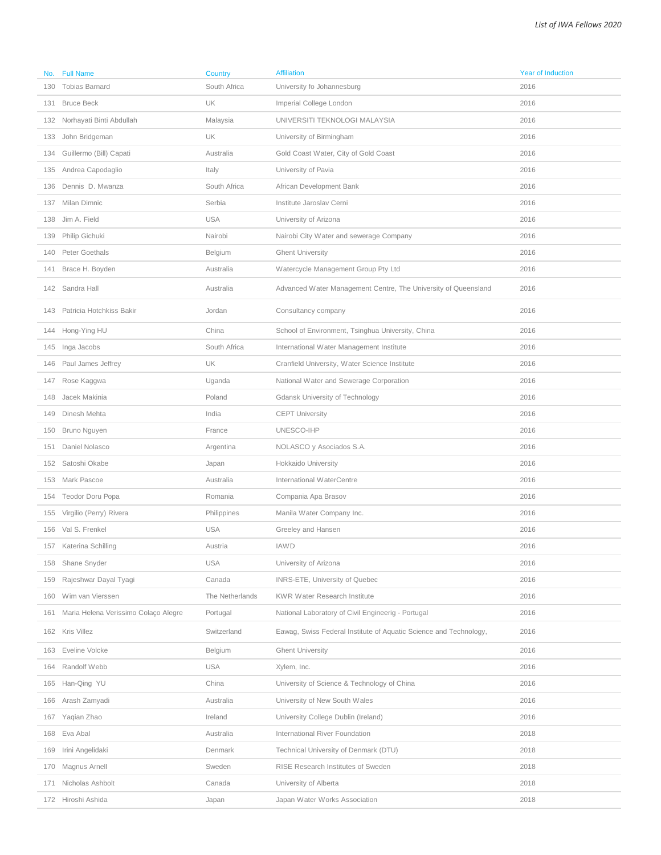| No. | <b>Full Name</b>                     | Country         | <b>Affiliation</b>                                                | <b>Year of Induction</b> |
|-----|--------------------------------------|-----------------|-------------------------------------------------------------------|--------------------------|
| 130 | <b>Tobias Barnard</b>                | South Africa    | University fo Johannesburg                                        | 2016                     |
| 131 | <b>Bruce Beck</b>                    | UK              | Imperial College London                                           | 2016                     |
| 132 | Norhayati Binti Abdullah             | Malaysia        | UNIVERSITI TEKNOLOGI MALAYSIA                                     | 2016                     |
| 133 | John Bridgeman                       | UK              | University of Birmingham                                          | 2016                     |
| 134 | Guillermo (Bill) Capati              | Australia       | Gold Coast Water, City of Gold Coast                              | 2016                     |
| 135 | Andrea Capodaglio                    | Italy           | University of Pavia                                               | 2016                     |
| 136 | Dennis D. Mwanza                     | South Africa    | African Development Bank                                          | 2016                     |
| 137 | Milan Dimnic                         | Serbia          | Institute Jaroslav Cerni                                          | 2016                     |
| 138 | Jim A. Field                         | <b>USA</b>      | University of Arizona                                             | 2016                     |
| 139 | Philip Gichuki                       | Nairobi         | Nairobi City Water and sewerage Company                           | 2016                     |
|     | 140 Peter Goethals                   | Belgium         | <b>Ghent University</b>                                           | 2016                     |
| 141 | Brace H. Boyden                      | Australia       | Watercycle Management Group Pty Ltd                               | 2016                     |
|     | 142 Sandra Hall                      | Australia       | Advanced Water Management Centre, The University of Queensland    | 2016                     |
|     | 143 Patricia Hotchkiss Bakir         | Jordan          | Consultancy company                                               | 2016                     |
|     | 144 Hong-Ying HU                     | China           | School of Environment, Tsinghua University, China                 | 2016                     |
|     | 145 Inga Jacobs                      | South Africa    | International Water Management Institute                          | 2016                     |
| 146 | Paul James Jeffrey                   | UK              | Cranfield University, Water Science Institute                     | 2016                     |
| 147 | Rose Kaggwa                          | Uganda          | National Water and Sewerage Corporation                           | 2016                     |
| 148 | Jacek Makinia                        | Poland          | Gdansk University of Technology                                   | 2016                     |
| 149 | Dinesh Mehta                         | India           | <b>CEPT University</b>                                            | 2016                     |
| 150 | Bruno Nguyen                         | France          | UNESCO-IHP                                                        | 2016                     |
| 151 | Daniel Nolasco                       | Argentina       | NOLASCO y Asociados S.A.                                          | 2016                     |
| 152 | Satoshi Okabe                        | Japan           | Hokkaido University                                               | 2016                     |
|     | 153 Mark Pascoe                      | Australia       | International WaterCentre                                         | 2016                     |
| 154 | Teodor Doru Popa                     | Romania         | Compania Apa Brasov                                               | 2016                     |
| 155 | Virgilio (Perry) Rivera              | Philippines     | Manila Water Company Inc.                                         | 2016                     |
| 156 | Val S. Frenkel                       | <b>USA</b>      | Greeley and Hansen                                                | 2016                     |
| 157 | Katerina Schilling                   | Austria         | <b>IAWD</b>                                                       | 2016                     |
|     | 158 Shane Snyder                     | <b>USA</b>      | University of Arizona                                             | 2016                     |
| 159 | Rajeshwar Dayal Tyagi                | Canada          | INRS-ETE, University of Quebec                                    | 2016                     |
| 160 | Wim van Vierssen                     | The Netherlands | <b>KWR Water Research Institute</b>                               | 2016                     |
| 161 | Maria Helena Verissimo Colaço Alegre | Portugal        | National Laboratory of Civil Engineerig - Portugal                | 2016                     |
|     | 162 Kris Villez                      | Switzerland     | Eawag, Swiss Federal Institute of Aquatic Science and Technology, | 2016                     |
| 163 | Eveline Volcke                       | Belgium         | <b>Ghent University</b>                                           | 2016                     |
| 164 | Randolf Webb                         | <b>USA</b>      | Xylem, Inc.                                                       | 2016                     |
| 165 | Han-Qing YU                          | China           | University of Science & Technology of China                       | 2016                     |
|     | 166 Arash Zamyadi                    | Australia       | University of New South Wales                                     | 2016                     |
| 167 | Yaqian Zhao                          | Ireland         | University College Dublin (Ireland)                               | 2016                     |
| 168 | Eva Abal                             | Australia       | International River Foundation                                    | 2018                     |
| 169 | Irini Angelidaki                     | Denmark         | Technical University of Denmark (DTU)                             | 2018                     |
| 170 | Magnus Arnell                        | Sweden          | RISE Research Institutes of Sweden                                | 2018                     |
| 171 | Nicholas Ashbolt                     | Canada          | University of Alberta                                             | 2018                     |
|     | 172 Hiroshi Ashida                   | Japan           | Japan Water Works Association                                     | 2018                     |